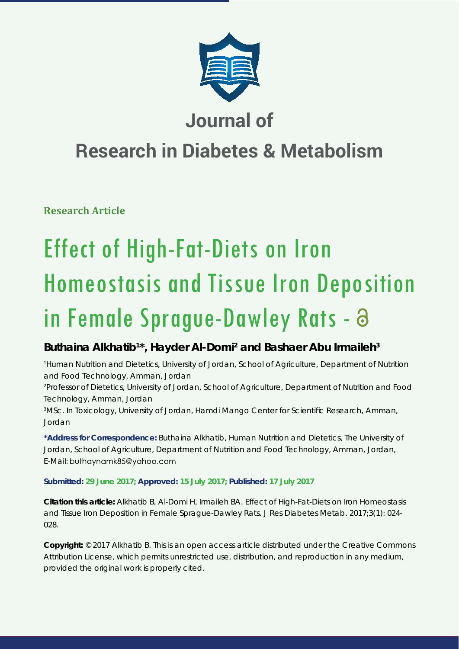

# **Journal of**

# **Research in Diabetes & Metabolism**

**Research Article**

# Effect of High-Fat-Diets on Iron Homeostasis and Tissue Iron Deposition in Female Sprague-Dawley Rats -

# Buthaina Alkhatib<sup>1\*</sup>, Hayder Al-Domi<sup>2</sup> and Bashaer Abu Irmaileh<sup>3</sup>

*1 Human Nutrition and Dietetics, University of Jordan, School of Agriculture, Department of Nutrition and Food Technology, Amman, Jordan*

*2 Professor of Dietetics, University of Jordan, School of Agriculture, Department of Nutrition and Food Technology, Amman, Jordan* 

*3 MSc. In Toxicology, University of Jordan, Hamdi Mango Center for Scientifi c Research, Amman, Jordan*

**\*Address for Correspondence:** Buthaina Alkhatib, Human Nutrition and Dietetics, The University of Jordan, School of Agriculture, Department of Nutrition and Food Technology, Amman, Jordan, E-Mail: buthaynamk85@yahoo.com

# **Submitted: 29 June 2017; Approved: 15 July 2017; Published: 17 July 2017**

**Citation this article:** Alkhatib B, Al-Domi H, Irmaileh BA. Effect of High-Fat-Diets on Iron Homeostasis and Tissue Iron Deposition in Female Sprague-Dawley Rats. J Res Diabetes Metab. 2017;3(1): 024- 028.

**Copyright:** © 2017 Alkhatib B. This is an open access article distributed under the Creative Commons Attribution License, which permits unrestricted use, distribution, and reproduction in any medium, provided the original work is properly cited.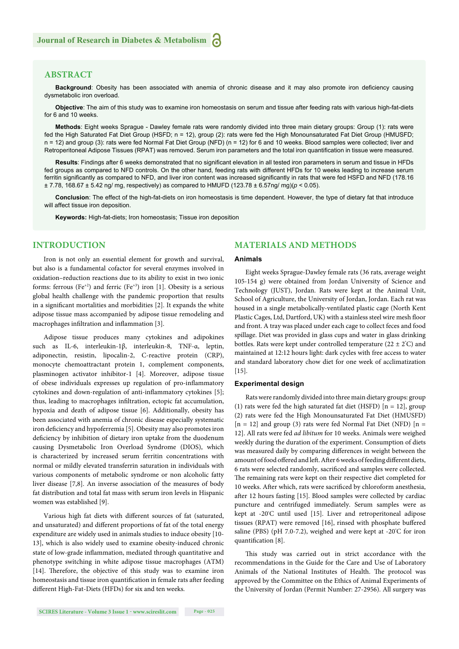# **ABSTRACT**

**Background**: Obesity has been associated with anemia of chronic disease and it may also promote iron deficiency causing dysmetabolic iron overload.

**Objective**: The aim of this study was to examine iron homeostasis on serum and tissue after feeding rats with various high-fat-diets for 6 and 10 weeks.

**Methods**: Eight weeks Sprague - Dawley female rats were randomly divided into three main dietary groups: Group (1): rats were fed the High Saturated Fat Diet Group (HSFD; n = 12), group (2): rats were fed the High Monounsaturated Fat Diet Group (HMUSFD; n = 12) and group (3): rats were fed Normal Fat Diet Group (NFD) (n = 12) for 6 and 10 weeks. Blood samples were collected; liver and Retroperitoneal Adipose Tissues (RPAT) was removed. Serum iron parameters and the total iron quantification in tissue were measured.

Results: Findings after 6 weeks demonstrated that no significant elevation in all tested iron parameters in serum and tissue in HFDs fed groups as compared to NFD controls. On the other hand, feeding rats with different HFDs for 10 weeks leading to increase serum ferritin significantly as compared to NFD, and liver iron content was increased significantly in rats that were fed HSFD and NFD (178.16 ± 7.78, 168.67 ± 5.42 ng/ mg, respectively) as compared to HMUFD (123.78 ± 6.57ng/ mg)(*p* ˂ 0.05).

**Conclusion**: The effect of the high-fat-diets on iron homeostasis is time dependent. However, the type of dietary fat that introduce will affect tissue iron deposition.

**Keywords:** High-fat-diets; Iron homeostasis; Tissue iron deposition

# **INTRODUCTION**

Iron is not only an essential element for growth and survival, but also is a fundamental cofactor for several enzymes involved in oxidation–reduction reactions due to its ability to exist in two ionic forms: ferrous (Fe<sup>+2</sup>) and ferric (Fe<sup>+3</sup>) iron [1]. Obesity is a serious global health challenge with the pandemic proportion that results in a significant mortalities and morbidities [2]. It expands the white adipose tissue mass accompanied by adipose tissue remodeling and macrophages infiltration and inflammation [3].

Adipose tissue produces many cytokines and adipokines such as IL-6, interleukin-1β, interleukin-8, TNF-α, leptin, adiponectin, resistin, lipocalin-2, C-reactive protein (CRP), monocyte chemoattractant protein 1, complement components, plasminogen activator inhibitor-1 [4]. Moreover, adipose tissue of obese individuals expresses up regulation of pro-inflammatory cytokines and down-regulation of anti-inflammatory cytokines [5]; thus, leading to macrophages infiltration, ectopic fat accumulation, hypoxia and death of adipose tissue [6]. Additionally, obesity has been associated with anemia of chronic disease especially systematic iron deficiency and hypoferremia [5]. Obesity may also promotes iron deficiency by inhibition of dietary iron uptake from the duodenum causing Dysmetabolic Iron Overload Syndrome (DIOS), which is characterized by increased serum ferritin concentrations with normal or mildly elevated transferrin saturation in individuals with various components of metabolic syndrome or non alcoholic fatty liver disease [7,8]. An inverse association of the measures of body fat distribution and total fat mass with serum iron levels in Hispanic women was established [9].

Various high fat diets with different sources of fat (saturated, and unsaturated) and different proportions of fat of the total energy expenditure are widely used in animals studies to induce obesity [10- 13], which is also widely used to examine obesity-induced chronic state of low-grade inflammation, mediated through quantitative and phenotype switching in white adipose tissue macrophages (ATM) [14]. Therefore, the objective of this study was to examine iron homeostasis and tissue iron quantification in female rats after feeding different High-Fat-Diets (HFDs) for six and ten weeks.

# **MATERIALS AND METHODS**

#### **Animals**

Eight weeks Sprague-Dawley female rats (36 rats, average weight 105-154 g) were obtained from Jordan University of Science and Technology (JUST), Jordan. Rats were kept at the Animal Unit, School of Agriculture, the University of Jordan, Jordan. Each rat was housed in a single metabolically-ventilated plastic cage (North Kent Plastic Cages, Ltd, Dartford, UK) with a stainless steel wire mesh floor and front. A tray was placed under each cage to collect feces and food spillage. Diet was provided in glass cups and water in glass drinking bottles. Rats were kept under controlled temperature ( $22 \pm 2^{\circ}$ C) and maintained at 12:12 hours light: dark cycles with free access to water and standard laboratory chow diet for one week of acclimatization  $[15]$ .

# **Experimental design**

Rats were randomly divided into three main dietary groups: group (1) rats were fed the high saturated fat diet (HSFD)  $[n = 12]$ , group (2) rats were fed the High Monounsaturated Fat Diet (HMUSFD)  $[n = 12]$  and group (3) rats were fed Normal Fat Diet (NFD)  $[n = 12]$ 12]. All rats were fed *ad libitum* for 10 weeks. Animals were weighed weekly during the duration of the experiment. Consumption of diets was measured daily by comparing differences in weight between the amount of food offered and left. After 6 weeks of feeding different diets, 6 rats were selected randomly, sacrificed and samples were collected. The remaining rats were kept on their respective diet completed for 10 weeks. After which, rats were sacrificed by chloroform anesthesia, after 12 hours fasting [15]. Blood samples were collected by cardiac puncture and centrifuged immediately. Serum samples were as kept at -20º C until used [15]. Liver and retroperitoneal adipose tissues (RPAT) were removed [16], rinsed with phosphate buffered saline (PBS) (pH 7.0-7.2), weighed and were kept at -20° C for iron quantification [8].

This study was carried out in strict accordance with the recommendations in the Guide for the Care and Use of Laboratory Animals of the National Institutes of Health. The protocol was approved by the Committee on the Ethics of Animal Experiments of the University of Jordan (Permit Number: 27-2956). All surgery was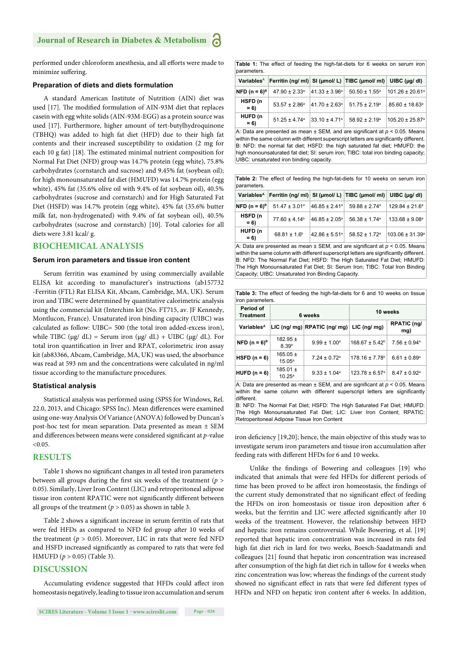performed under chloroform anesthesia, and all efforts were made to minimize suffering.

## **Preparation of diets and diets formulation**

A standard American Institute of Nutrition (AIN) diet was used [17]. The modified formulation of AIN-93M diet that replaces casein with egg white solids (AIN-93M-EGG) as a protein source was used [17]. Furthermore, higher amount of tert-butylhydroquinone (TBHQ) was added to high fat diet (HFD) due to their high fat contents and their increased susceptibility to oxidation (2 mg for each 10 g fat) [18]. The estimated minimal nutrient composition for Normal Fat Diet (NFD) group was 14.7% protein (egg white), 75.8% carbohydrates (cornstarch and sucrose) and 9.45% fat (soybean oil); for high monounsaturated fat diet (HMUFD) was 14.7% protein (egg white), 45% fat (35.6% olive oil with 9.4% of fat soybean oil), 40.5% carbohydrates (sucrose and cornstarch) and for High Saturated Fat Diet (HSFD) was 14.7% protein (egg white), 45% fat (35.6% butter milk fat, non-hydrogenated) with 9.4% of fat soybean oil), 40.5% carbohydrates (sucrose and cornstarch) [10]. Total calories for all diets were 3.81 kcal/ g.

# **BIOCHEMICAL ANALYSIS**

# **Serum iron parameters and tissue iron content**

Serum ferritin was examined by using commercially available ELISA kit according to manufacturer's instructions (ab157732 -Ferritin (FTL) Rat ELISA Kit, Abcam, Cambridge, MA, UK). Serum iron and TIBC were determined by quantitative calorimetric analysis using the commercial kit (Interchim kit (No. FT715, av. JF Kennedy, Montlucon, France). Unsaturated iron binding capacity (UIBC) was calculated as follow: UIBC= 500 (the total iron added-excess iron), while TIBC (μg/ dL) = Serum iron (μg/ dL) + UIBC (μg/ dL). For total iron quantification in liver and RPAT, colorimetric iron assay kit (ab83366, Abcam, Cambridge, MA, UK) was used, the absorbance was read at 593 nm and the concentrations were calculated in ng/ml tissue according to the manufacture procedures.

### **Statistical analysis**

Statistical analysis was performed using (SPSS for Windows, Rel. 22.0, 2013, and Chicago: SPSS Inc). Mean differences were examined using one-way Analysis Of Variance (ANOVA) followed by Duncan's post-hoc test for mean separation. Data presented as mean ± SEM and differences between means were considered significant at *p*-value  $< 0.05$ .

# **RESULTS**

Table 1 shows no significant changes in all tested iron parameters between all groups during the first six weeks of the treatment  $(p >$ 0.05). Similarly, Liver Iron Content (LIC) and retroperitoneal adipose tissue iron content RPATIC were not significantly different between all groups of the treatment ( $p > 0.05$ ) as shown in table 3.

Table 2 shows a significant increase in serum ferritin of rats that were fed HFDs as compared to NFD fed group after 10 weeks of the treatment ( $p > 0.05$ ). Moreover, LIC in rats that were fed NFD and HSFD increased significantly as compared to rats that were fed HMUFD (*p* > 0.05) (Table 3).

# **DISCUSSION**

Accumulating evidence suggested that HFDs could affect iron homeostasis negatively, leading to tissue iron accumulation and serum **Table 1:** The effect of feeding the high-fat-diets for 6 weeks on serum iron parameters.

|                                     |                               |                               | Variables <sup>A</sup> Ferritin (ng/ ml) SI (µmol/ L) TIBC (µmol/ ml) UIBC (µg/ dl) |                             |
|-------------------------------------|-------------------------------|-------------------------------|-------------------------------------------------------------------------------------|-----------------------------|
| <b>NFD</b> ( $n = 6$ ) <sup>B</sup> | $47.90 \pm 2.33$ <sup>a</sup> | $ 41.33 \pm 3.96^{\circ} $    | $50.50 \pm 1.55^{\circ}$                                                            | 101.26 ± 20.61 <sup>a</sup> |
| HSFD (n<br>$= 6$                    | $53.57 \pm 2.86^{\circ}$      | $41.70 \pm 2.63$ <sup>a</sup> | $51.75 \pm 2.19^a$                                                                  | 85.60 ± 18.63 <sup>a</sup>  |
| HUFD (n<br>$= 6$                    | $51.25 \pm 4.74$ <sup>a</sup> | $33.10 \pm 4.71$ <sup>a</sup> | $58.92 \pm 2.19^a$                                                                  | 105.20 ± 25.87 <sup>a</sup> |

A: Data are presented as mean  $\pm$  SEM, and are significant at  $p < 0.05$ . Means within the same column with different superscript letters are significantly different. B: NFD: the normal fat diet; HSFD: the high saturated fat diet; HMUFD: the high monounsaturated fat diet; SI: serum iron; TIBC: total iron binding capacity; UIBC: unsaturated iron binding capacity.

**Table 2:** The effect of feeding the high-fat-diets for 10 weeks on serum iron parameters.

|                  |                    |                               | Variables <sup>A</sup> Ferritin (ng/ ml) SI (µmol/ L) TIBC (µmol/ ml) UIBC (µg/ dl) |                             |
|------------------|--------------------|-------------------------------|-------------------------------------------------------------------------------------|-----------------------------|
| $NFD (n = 6)^8$  | $51.47 \pm 3.01^a$ | $46.85 \pm 2.41$ <sup>a</sup> | $59.88 \pm 2.74$ <sup>a</sup>                                                       | $129.84 \pm 21.6^a$         |
| HSFD (n<br>$= 6$ | $77.60 \pm 4.14^b$ | $46.85 \pm 2.05^{\circ}$      | $56.38 \pm 1.74$ <sup>a</sup>                                                       | $133.68 \pm 9.08^{\circ}$   |
| HUFD (n<br>$= 6$ | $68.81 \pm 1.6^b$  | $42.86 \pm 5.51$ <sup>a</sup> | $58.52 \pm 1.72$ <sup>a</sup>                                                       | 103.06 ± 31.39 <sup>a</sup> |

A: Data are presented as mean  $\pm$  SEM, and are significant at  $p < 0.05$ . Means within the same column with different superscript letters are significantly different B: NFD: The Normal Fat Diet: HSFD: The High Saturated Fat Diet: HMUFD: The High Monounsaturated Fat Diet; SI: Serum Iron; TIBC: Total Iron Binding Capacity; UIBC: Unsaturated Iron Binding Capacity.

**Table 3:** The effect of feeding the high-fat-diets for 6 and 10 weeks on tissue iron parameters.

| Period of<br><b>Treatment</b> | 6 weeks                           |                                           | 10 weeks                       |                              |  |  |
|-------------------------------|-----------------------------------|-------------------------------------------|--------------------------------|------------------------------|--|--|
| Variables <sup>A</sup>        |                                   | LIC (ng/ mg) RPATIC (ng/ mg) LIC (ng/ mg) |                                | <b>RPATIC (ng/</b><br>$mq$ ) |  |  |
| <b>NFD</b> $(n = 6)^{B}$      | $182.95 \pm$<br>8.39 <sup>a</sup> | $9.99 \pm 1.00^{\circ}$                   | $168.67 \pm 5.42$ <sup>b</sup> | $7.56 \pm 0.94$ <sup>a</sup> |  |  |
| HSFD $(n = 6)$                | $165.05 \pm$<br>$15.05^{\circ}$   | $7.24 \pm 0.72$ <sup>a</sup>              | $178.16 \pm 7.78$ <sup>b</sup> | $6.61 \pm 0.89^{\circ}$      |  |  |
| $HUPD(n = 6)$                 | $185.01 \pm$<br>$10.25^{\circ}$   | $9.33 \pm 1.04^a$                         | $123.78 \pm 6.57$ <sup>a</sup> | $8.47 \pm 0.92$ <sup>a</sup> |  |  |

A: Data are presented as mean  $\pm$  SEM, and are significant at  $p < 0.05$ . Means within the same column with different superscript letters are significantly different.

B: NFD: The Normal Fat Diet; HSFD: The High Saturated Fat Diet; HMUFD: The High Monounsaturated Fat Diet; LIC: Liver Iron Content; RPATIC: Retroperitoneal Adipose Tissue Iron Content

iron deficiency [19,20]; hence, the main objective of this study was to investigate serum iron parameters and tissue iron accumulation after feeding rats with different HFDs for 6 and 10 weeks.

Unlike the findings of Bowering and colleagues [19] who indicated that animals that were fed HFDs for different periods of time has been proved to be affect iron homeostasis, the findings of the current study demonstrated that no significant effect of feeding the HFDs on iron homeostasis or tissue iron deposition after 6 weeks, but the ferritin and LIC were affected significantly after 10 weeks of the treatment. However, the relationship between HFD and hepatic iron remains controversial. While Bowering, et al. [19] reported that hepatic iron concentration was increased in rats fed high fat diet rich in lard for two weeks, Boesch-Saadatmandi and colleagues [21] found that hepatic iron concentration was increased after consumption of the high fat diet rich in tallow for 4 weeks when zinc concentration was low; whereas the findings of the current study showed no significant effect in rats that were fed different types of HFDs and NFD on hepatic iron content after 6 weeks. In addition,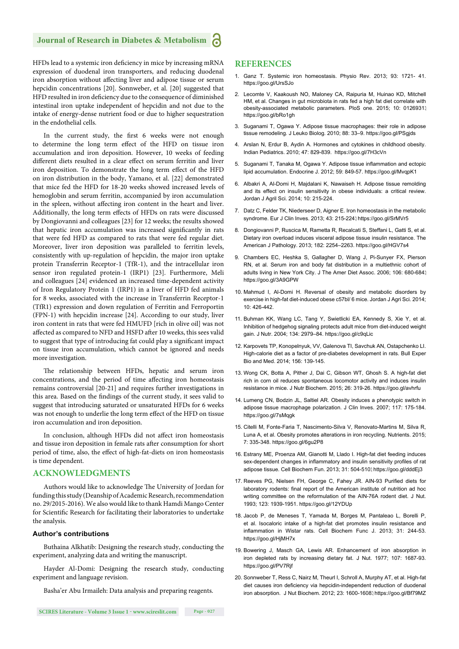# **Journal of Research in Diabetes & Metabolism**

HFDs lead to a systemic iron deficiency in mice by increasing mRNA expression of duodenal iron transporters, and reducing duodenal iron absorption without affecting liver and adipose tissue or serum hepcidin concentrations [20]. Sonnweber, et al. [20] suggested that HFD resulted in iron deficiency due to the consequence of diminished intestinal iron uptake independent of hepcidin and not due to the intake of energy-dense nutrient food or due to higher sequestration in the endothelial cells.

In the current study, the first 6 weeks were not enough to determine the long term effect of the HFD on tissue iron accumulation and iron deposition. However, 10 weeks of feeding different diets resulted in a clear effect on serum ferritin and liver iron deposition. To demonstrate the long term effect of the HFD on iron distribution in the body, Yamano, et al. [22] demonstrated that mice fed the HFD for 18-20 weeks showed increased levels of hemoglobin and serum ferritin, accompanied by iron accumulation in the spleen, without affecting iron content in the heart and liver. Additionally, the long term effects of HFDs on rats were discussed by Dongiovanni and colleagues [23] for 12 weeks; the results showed that hepatic iron accumulation was increased significantly in rats that were fed HFD as compared to rats that were fed regular diet. Moreover, liver iron deposition was paralleled to ferritin levels, consistently with up-regulation of hepcidin, the major iron uptake protein Transferrin Receptor-1 (TfR-1), and the intracellular iron sensor iron regulated protein-1 (IRP1) [23]. Furthermore, Meli and colleagues [24] evidenced an increased time-dependent activity of Iron Regulatory Protein 1 (IRP1) in a liver of HFD fed animals for 8 weeks, associated with the increase in Transferrin Receptor-1 (TfR1) expression and down regulation of Ferritin and Ferroportin (FPN-1) with hepcidin increase [24]. According to our study, liver iron content in rats that were fed HMUFD [rich in olive oil] was not affected as compared to NFD and HSFD after 10 weeks, this sees valid to suggest that type of introducing fat could play a significant impact on tissue iron accumulation, which cannot be ignored and needs more investigation.

The relationship between HFDs, hepatic and serum iron concentrations, and the period of time affecting iron homeostasis remains controversial [20-21] and requires further investigations in this area. Based on the findings of the current study, it sees valid to suggest that introducing saturated or unsaturated HFDs for 6 weeks was not enough to underlie the long term effect of the HFD on tissue iron accumulation and iron deposition.

In conclusion, although HFDs did not affect iron homeostasis and tissue iron deposition in female rats after consumption for short period of time, also, the effect of high-fat-diets on iron homeostasis is time dependent.

# **ACKNOWLEDGMENTS**

Authors would like to acknowledge The University of Jordan for funding this study (Deanship of Academic Research, recommendation no. 29/2015-2016). We also would like to thank Hamdi Mango Center for Scientific Research for facilitating their laboratories to undertake the analysis.

# **Author's contributions**

Buthaina Alkhatib: Designing the research study, conducting the experiment, analyzing data and writing the manuscript.

Hayder Al-Domi: Designing the research study, conducting experiment and language revision.

Basha'er Abu Irmaileh: Data analysis and preparing reagents.

# **REFERENCES**

- 1. Ganz T. Systemic iron homeostasis. Physio Rev. 2013; 93: 1721- 41. https://goo.gl/UrsSJo
- 2. Lecomte V, Kaakoush NO, Maloney CA, Raipuria M, Huinao KD, Mitchell HM, et al. Changes in gut microbiota in rats fed a high fat diet correlate with obesity-associated metabolic parameters. PloS one. 2015; 10: 0126931. https://goo.gl/bRo1gh
- 3. Suganami T, Ogawa Y. Adipose tissue macrophages: their role in adipose tissue remodeling. J Leuko Biolog. 2010; 88: 33–9. https://goo.gl/PSgjds
- 4. Arslan N, Erdur B, Aydin A. Hormones and cytokines in childhood obesity. Indian Pediatrics. 2010; 47: 829-839. https://goo.gl/7H3cVn
- 5. Suganami T, Tanaka M, Ogawa Y. Adipose tissue inflammation and ectopic lipid accumulation. Endocrine J. 2012; 59: 849-57. https://goo.gl/MvqpK1
- 6. Albakri A, Al-Domi H, Majdalani K, Nawaiseh H. Adipose tissue remolding and its effect on insulin sensitivity in obese individuals: a critical review. Jordan J Agril Sci. 2014; 10: 215-224.
- 7. Datz C, Felder TK, Niederseer D, Aigner E. Iron homeostasis in the metabolic syndrome. Eur J Clin Inves. 2013; 43: 215-224. https://goo.gl/SrMVr5
- 8. Dongiovanni P, Ruscica M, Rametta R, Recalcati S, Steffani L, Gatti S, et al. Dietary iron overload induces visceral adipose tissue insulin resistance. The American J Pathology. 2013; 182: 2254–2263. https://goo.gl/HGV7s4
- 9. Chambers EC, Heshka S, Gallagher D, Wang J, Pi-Sunyer FX, Pierson RN, et al. Serum iron and body fat distribution in a multiethnic cohort of adults living in New York City. J The Amer Diet Assoc. 2006; 106: 680-684. https://goo.gl/3A9GPW
- 10. Mahmud I, Al-Domi H. Reversal of obesity and metabolic disorders by exercise in high-fat diet-induced obese c57bl/ 6 mice. Jordan J Agri Sci. 2014; 10: 426-442.
- 11. Buhman KK, Wang LC, Tang Y, Swietlicki EA, Kennedy S, Xie Y, et al. Inhibition of hedgehog signaling protects adult mice from diet-induced weight gain. J Nutr. 2004; 134: 2979–84. https://goo.gl/c9qLic
- 12. Karpovets TP, Konopelnyuk, VV, Galenova TI, Savchuk AN, Ostapchenko LI. High-calorie diet as a factor of pre-diabetes development in rats. Bull Exper Bio and Med. 2014; 156: 139-145.
- 13. Wong CK, Botta A, Pither J, Dai C, Gibson WT, Ghosh S. A high-fat diet rich in corn oil reduces spontaneous locomotor activity and induces insulin resistance in mice. J Nutr Biochem. 2015; 26: 319-26. https://goo.gl/avhrfu
- 14. Lumeng CN, Bodzin JL, Saltiel AR. Obesity induces a phenotypic switch in adipose tissue macrophage polarization. J Clin Inves. 2007; 117: 175-184. https://goo.gl/7sMqgk
- 15. Citelli M, Fonte-Faria T, Nascimento-Silva V, Renovato-Martins M, Silva R, Luna A, et al. Obesity promotes alterations in iron recycling. Nutrients. 2015; 7: 335-348. https://goo.gl/6gu2P8
- 16. Estrany ME, Proenza AM, Gianotti M, Llado I. High-fat diet feeding induces sex-dependent changes in inflammatory and insulin sensitivity profiles of rat adipose tissue. Cell Biochem Fun. 2013; 31: 504-510. https://goo.gl/dddEj3
- 17. Reeves PG, Nielsen FH, George C, Fahey JR. AIN-93 Purified diets for laboratory rodents: final report of the American institute of nutrition ad hoc writing committee on the reformulation of the AIN-76A rodent diet. J Nut. 1993; 123: 1939-1951. https://goo.gl/12YDUp
- 18. Jacob P, de Meneses T, Yamada M, Borges M, Pantaleao L, Borelli P, et al. Isocaloric intake of a high-fat diet promotes insulin resistance and inflammation in Wistar rats. Cell Biochem Func J. 2013: 31: 244-53. https://goo.gl/HjMH7x
- 19. Bowering J, Masch GA, Lewis AR. Enhancement of iron absorption in iron depleted rats by increasing dietary fat. J Nut. 1977; 107: 1687-93. https://goo.gl/PV7Rif
- 20. Sonnweber T, Ress C, Nairz M, Theurl I, Schroll A, Murphy AT, et al. High-fat diet causes iron deficiency via hepcidin-independent reduction of duodenal iron absorption. J Nut Biochem. 2012; 23: 1600-1608. https://goo.gl/Bf79MZ